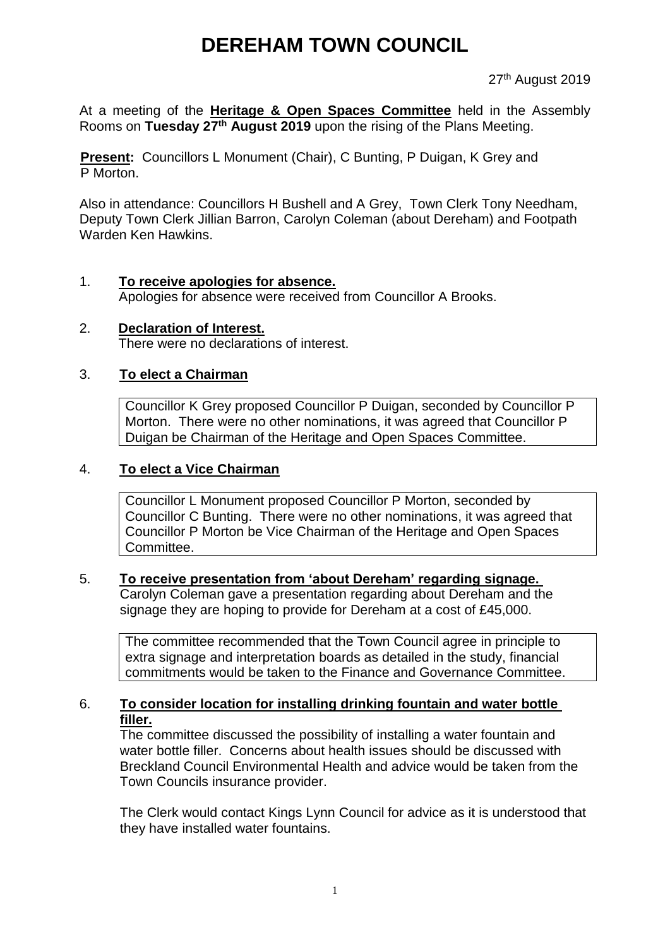# **DEREHAM TOWN COUNCIL**

27<sup>th</sup> August 2019

At a meeting of the **Heritage & Open Spaces Committee** held in the Assembly Rooms on **Tuesday 27th August 2019** upon the rising of the Plans Meeting.

**Present:** Councillors L Monument (Chair), C Bunting, P Duigan, K Grey and P Morton.

Also in attendance: Councillors H Bushell and A Grey, Town Clerk Tony Needham, Deputy Town Clerk Jillian Barron, Carolyn Coleman (about Dereham) and Footpath Warden Ken Hawkins.

#### 1. **To receive apologies for absence.**

Apologies for absence were received from Councillor A Brooks.

2. **Declaration of Interest.** There were no declarations of interest.

#### 3. **To elect a Chairman**

Councillor K Grey proposed Councillor P Duigan, seconded by Councillor P Morton. There were no other nominations, it was agreed that Councillor P Duigan be Chairman of the Heritage and Open Spaces Committee.

#### 4. **To elect a Vice Chairman**

Councillor L Monument proposed Councillor P Morton, seconded by Councillor C Bunting. There were no other nominations, it was agreed that Councillor P Morton be Vice Chairman of the Heritage and Open Spaces Committee.

#### 5. **To receive presentation from 'about Dereham' regarding signage.**

Carolyn Coleman gave a presentation regarding about Dereham and the signage they are hoping to provide for Dereham at a cost of £45,000.

The committee recommended that the Town Council agree in principle to extra signage and interpretation boards as detailed in the study, financial commitments would be taken to the Finance and Governance Committee.

#### 6. **To consider location for installing drinking fountain and water bottle filler.**

The committee discussed the possibility of installing a water fountain and water bottle filler. Concerns about health issues should be discussed with Breckland Council Environmental Health and advice would be taken from the Town Councils insurance provider.

The Clerk would contact Kings Lynn Council for advice as it is understood that they have installed water fountains.